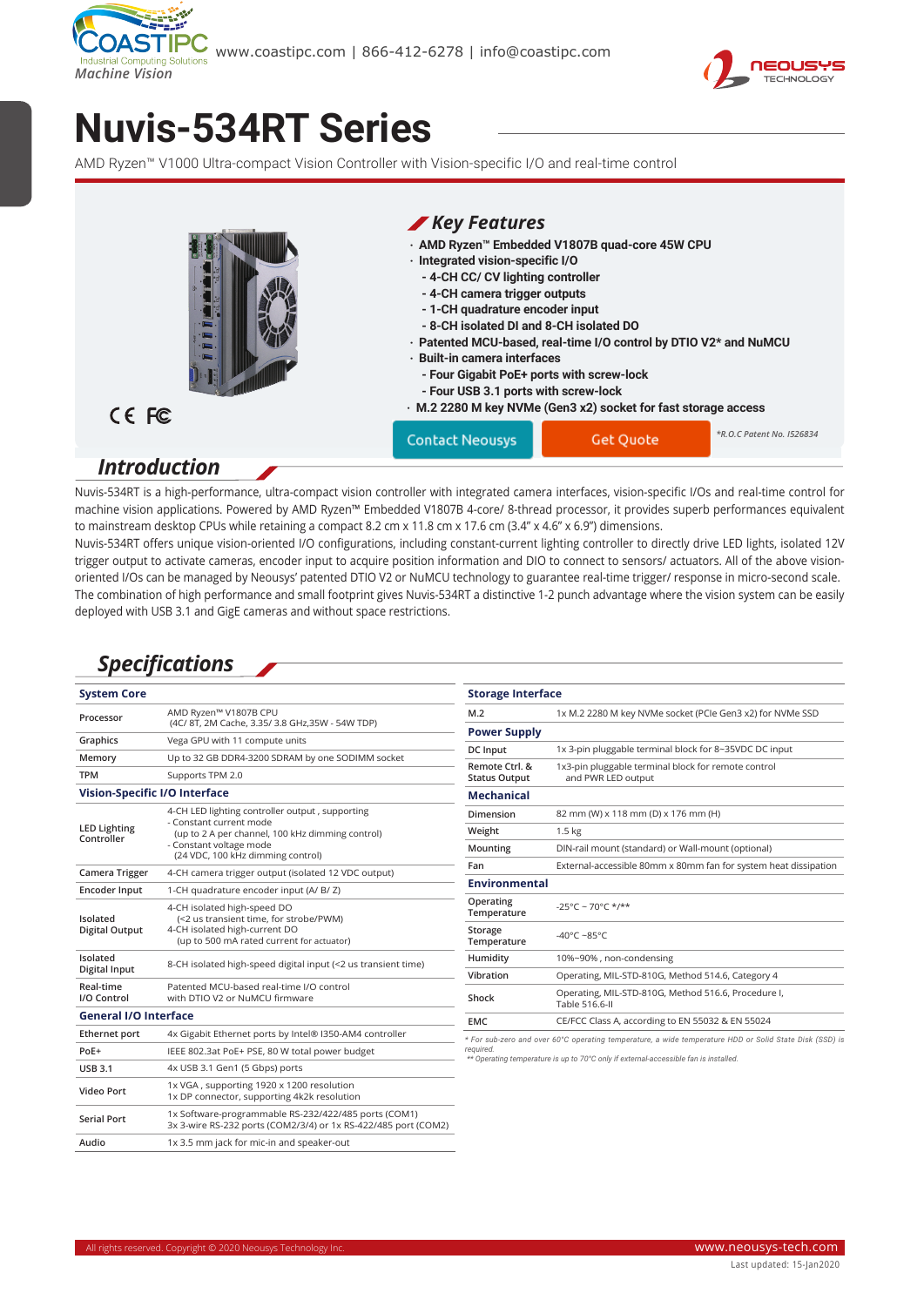



## **[Nuvis-534RT Series](https://www.neousys-tech.com/en/product/application/machine-vision/nuvis-534rt-amd-ryzen-v1807b-ultra-compact-machine-vision-controller?utm_source=datasheet&utm_medium=web&utm_campaign=Nuvis-534RT)**

AMD Ryzen™ V1000 Ultra-compact Vision Controller with Vision-specific I/O and real-time control



Nuvis-534RT is a high-performance, ultra-compact vision controller with integrated camera interfaces, vision-specific I/Os and real-time control for machine vision applications. Powered by AMD Ryzen™ Embedded V1807B 4-core/ 8-thread processor, it provides superb performances equivalent to mainstream desktop CPUs while retaining a compact 8.2 cm x 11.8 cm x 17.6 cm (3.4" x 4.6" x 6.9") dimensions.

Nuvis-534RT offers unique vision-oriented I/O configurations, including constant-current lighting controller to directly drive LED lights, isolated 12V trigger output to activate cameras, encoder input to acquire position information and DIO to connect to sensors/ actuators. All of the above visionoriented I/Os can be managed by Neousys' patented DTIO V2 or NuMCU technology to guarantee real-time trigger/ response in micro-second scale. The combination of high performance and small footprint gives Nuvis-534RT a distinctive 1-2 punch advantage where the vision system can be easily deployed with USB 3.1 and GigE cameras and without space restrictions.

## *Specifications*

| <b>System Core</b>                |                                                                                                                                                                                                | <b>Storage Interface</b>                                                                                                                                                                                   |                                                                       |  |
|-----------------------------------|------------------------------------------------------------------------------------------------------------------------------------------------------------------------------------------------|------------------------------------------------------------------------------------------------------------------------------------------------------------------------------------------------------------|-----------------------------------------------------------------------|--|
| Processor                         | AMD Ryzen™ V1807B CPU                                                                                                                                                                          | M.2                                                                                                                                                                                                        | 1x M.2 2280 M key NVMe socket (PCIe Gen3 x2) for NVMe SSD             |  |
|                                   | (4C/ 8T, 2M Cache, 3.35/ 3.8 GHz, 35W - 54W TDP)                                                                                                                                               | <b>Power Supply</b>                                                                                                                                                                                        |                                                                       |  |
| Graphics                          | Vega GPU with 11 compute units                                                                                                                                                                 | DC Input                                                                                                                                                                                                   | 1x 3-pin pluggable terminal block for 8~35VDC DC input                |  |
| Memory                            | Up to 32 GB DDR4-3200 SDRAM by one SODIMM socket                                                                                                                                               | Remote Ctrl. &                                                                                                                                                                                             | 1x3-pin pluggable terminal block for remote control                   |  |
| <b>TPM</b>                        | Supports TPM 2.0                                                                                                                                                                               | <b>Status Output</b>                                                                                                                                                                                       | and PWR LED output                                                    |  |
| Vision-Specific I/O Interface     |                                                                                                                                                                                                | <b>Mechanical</b>                                                                                                                                                                                          |                                                                       |  |
| <b>LED Lighting</b><br>Controller | 4-CH LED lighting controller output, supporting<br>- Constant current mode<br>(up to 2 A per channel, 100 kHz dimming control)<br>- Constant voltage mode<br>(24 VDC, 100 kHz dimming control) | Dimension                                                                                                                                                                                                  | 82 mm (W) x 118 mm (D) x 176 mm (H)                                   |  |
|                                   |                                                                                                                                                                                                | Weight                                                                                                                                                                                                     | $1.5 \text{ kg}$                                                      |  |
|                                   |                                                                                                                                                                                                | Mounting                                                                                                                                                                                                   | DIN-rail mount (standard) or Wall-mount (optional)                    |  |
| Camera Trigger                    | 4-CH camera trigger output (isolated 12 VDC output)                                                                                                                                            | Fan                                                                                                                                                                                                        | External-accessible 80mm x 80mm fan for system heat dissipation       |  |
| Encoder Input                     | 1-CH quadrature encoder input (A/ B/ Z)                                                                                                                                                        | <b>Environmental</b>                                                                                                                                                                                       |                                                                       |  |
| Isolated<br><b>Digital Output</b> | 4-CH isolated high-speed DO<br>(<2 us transient time, for strobe/PWM)<br>4-CH isolated high-current DO<br>(up to 500 mA rated current for actuator)                                            | Operating<br>Temperature                                                                                                                                                                                   | $-25^{\circ}$ C ~ 70°C */**                                           |  |
|                                   |                                                                                                                                                                                                | Storage<br>Temperature                                                                                                                                                                                     | -40°C ~85°C                                                           |  |
| Isolated<br>Digital Input         | 8-CH isolated high-speed digital input (<2 us transient time)                                                                                                                                  | Humidity                                                                                                                                                                                                   | 10%~90%, non-condensing                                               |  |
|                                   |                                                                                                                                                                                                | Vibration                                                                                                                                                                                                  | Operating, MIL-STD-810G, Method 514.6, Category 4                     |  |
| Real-time<br>I/O Control          | Patented MCU-based real-time I/O control<br>with DTIO V2 or NuMCU firmware                                                                                                                     | Shock                                                                                                                                                                                                      | Operating, MIL-STD-810G, Method 516.6, Procedure I,<br>Table 516.6-II |  |
| <b>General I/O Interface</b>      |                                                                                                                                                                                                | <b>EMC</b>                                                                                                                                                                                                 | CE/FCC Class A, according to EN 55032 & EN 55024                      |  |
| <b>Ethernet port</b>              | 4x Gigabit Ethernet ports by Intel® I350-AM4 controller                                                                                                                                        | For sub-zero and over 60°C operating temperature, a wide temperature HDD or Solid State Disk (SSD) is<br>required.<br>** Operating temperature is up to 70°C only if external-accessible fan is installed. |                                                                       |  |
| PoE+                              | IEEE 802.3at PoE+ PSE, 80 W total power budget                                                                                                                                                 |                                                                                                                                                                                                            |                                                                       |  |
| <b>USB 3.1</b>                    | 4x USB 3.1 Gen1 (5 Gbps) ports                                                                                                                                                                 |                                                                                                                                                                                                            |                                                                       |  |
| <b>Video Port</b>                 | 1x VGA, supporting 1920 x 1200 resolution<br>1x DP connector, supporting 4k2k resolution                                                                                                       |                                                                                                                                                                                                            |                                                                       |  |
| <b>Serial Port</b>                | 1x Software-programmable RS-232/422/485 ports (COM1)<br>3x 3-wire RS-232 ports (COM2/3/4) or 1x RS-422/485 port (COM2)                                                                         |                                                                                                                                                                                                            |                                                                       |  |
| oibuA                             | 1x 3.5 mm jack for mic-in and speaker-out                                                                                                                                                      |                                                                                                                                                                                                            |                                                                       |  |